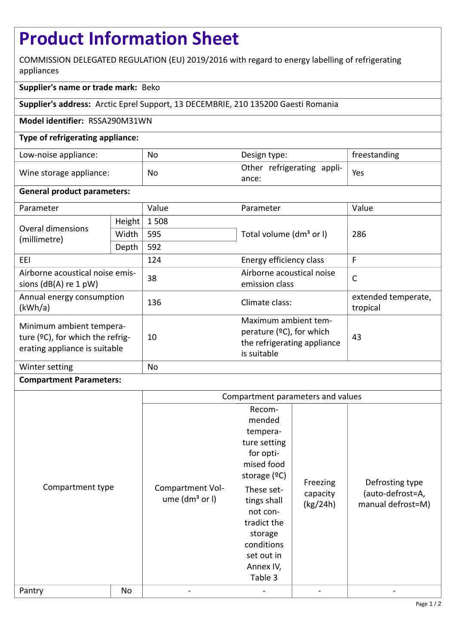# **Product Information Sheet**

COMMISSION DELEGATED REGULATION (EU) 2019/2016 with regard to energy labelling of refrigerating appliances

# **Supplier's name or trade mark:** Beko

**Supplier's address:** Arctic Eprel Support, 13 DECEMBRIE, 210 135200 Gaesti Romania

#### **Model identifier:** RSSA290M31WN

### **Type of refrigerating appliance:**

| Low-noise appliance:    | No | Design type:                                      | freestanding |
|-------------------------|----|---------------------------------------------------|--------------|
| Wine storage appliance: | No | $\frac{1}{1}$ Other refrigerating appli-<br>ance: | Yes          |

#### **General product parameters:**

| Parameter                                                                                     |        | Value | Parameter                                                                                         | Value                           |
|-----------------------------------------------------------------------------------------------|--------|-------|---------------------------------------------------------------------------------------------------|---------------------------------|
| Overal dimensions<br>(millimetre)                                                             | Height | 1508  |                                                                                                   | 286                             |
|                                                                                               | Width  | 595   | Total volume (dm <sup>3</sup> or I)                                                               |                                 |
|                                                                                               | Depth  | 592   |                                                                                                   |                                 |
| EEI                                                                                           |        | 124   | Energy efficiency class                                                                           | F                               |
| Airborne acoustical noise emis-<br>sions $(dB(A)$ re 1 pW)                                    |        | 38    | Airborne acoustical noise<br>emission class                                                       | $\mathsf{C}$                    |
| Annual energy consumption<br>(kWh/a)                                                          |        | 136   | Climate class:                                                                                    | extended temperate,<br>tropical |
| Minimum ambient tempera-<br>ture (°C), for which the refrig-<br>erating appliance is suitable |        | 10    | Maximum ambient tem-<br>perature $(°C)$ , for which<br>the refrigerating appliance<br>is suitable | 43                              |
| Winter setting                                                                                |        | No    |                                                                                                   |                                 |

## **Compartment Parameters:**

|                  |    | Compartment parameters and values      |                                                                                                                                                                                                                  |                                  |                                                          |
|------------------|----|----------------------------------------|------------------------------------------------------------------------------------------------------------------------------------------------------------------------------------------------------------------|----------------------------------|----------------------------------------------------------|
| Compartment type |    | Compartment Vol-<br>ume $(dm3$ or $I)$ | Recom-<br>mended<br>tempera-<br>ture setting<br>for opti-<br>mised food<br>storage $(°C)$<br>These set-<br>tings shall<br>not con-<br>tradict the<br>storage<br>conditions<br>set out in<br>Annex IV,<br>Table 3 | Freezing<br>capacity<br>(kg/24h) | Defrosting type<br>(auto-defrost=A,<br>manual defrost=M) |
| Pantry           | No |                                        |                                                                                                                                                                                                                  |                                  |                                                          |